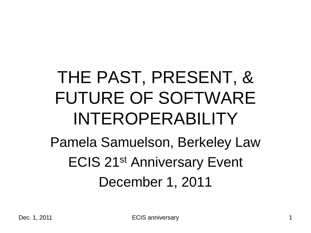#### THE PAST, PRESENT, & FUTURE OF SOFTWARE INTEROPERABILITY

Pamela Samuelson, Berkeley Law ECIS 21st Anniversary Event December 1, 2011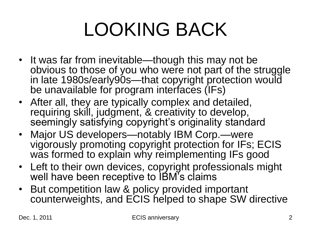## LOOKING BACK

- It was far from inevitable—though this may not be obvious to those of you who were not part of the struggle in late 1980s/early90s—that copyright protection would be unavailable for program interfaces (IFs)
- After all, they are typically complex and detailed, requiring skill, judgment, & creativity to develop, seemingly satisfying copyright's originality standard
- Major US developers—notably IBM Corp.—were vigorously promoting copyright protection for IFs; ECIS was formed to explain why reimplementing IFs good
- Left to their own devices, copyright professionals might well have been receptive to IBM's claims
- But competition law & policy provided important counterweights, and ECIS helped to shape SW directive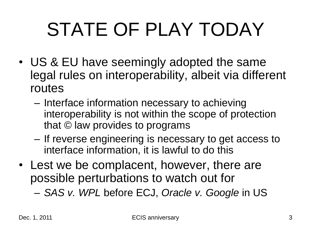## STATE OF PLAY TODAY

- US & EU have seemingly adopted the same legal rules on interoperability, albeit via different routes
	- Interface information necessary to achieving interoperability is not within the scope of protection that © law provides to programs
	- If reverse engineering is necessary to get access to interface information, it is lawful to do this
- Lest we be complacent, however, there are possible perturbations to watch out for

– *SAS v. WPL* before ECJ, *Oracle v. Google* in US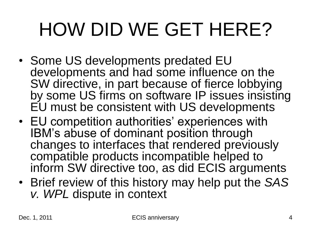## HOW DID WE GET HERE?

- Some US developments predated EU developments and had some influence on the SW directive, in part because of fierce lobbying by some US firms on software IP issues insisting EU must be consistent with US developments
- EU competition authorities' experiences with IBM's abuse of dominant position through changes to interfaces that rendered previously compatible products incompatible helped to inform SW directive too, as did ECIS arguments
- Brief review of this history may help put the *SAS v. WPL* dispute in context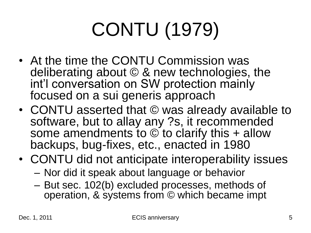# CONTU (1979)

- At the time the CONTU Commission was deliberating about © & new technologies, the int'l conversation on SW protection mainly focused on a sui generis approach
- CONTU asserted that © was already available to software, but to allay any ?s, it recommended some amendments to  $\odot$  to clarify this + allow backups, bug-fixes, etc., enacted in 1980
- CONTU did not anticipate interoperability issues
	- Nor did it speak about language or behavior
	- But sec. 102(b) excluded processes, methods of operation, & systems from © which became impt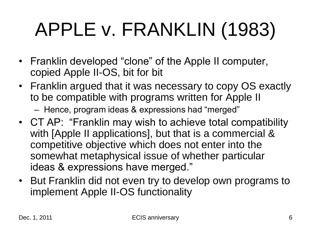## APPLE v. FRANKLIN (1983)

- Franklin developed "clone" of the Apple II computer, copied Apple II-OS, bit for bit
- Franklin argued that it was necessary to copy OS exactly to be compatible with programs written for Apple II
	- Hence, program ideas & expressions had "merged"
- CT AP: "Franklin may wish to achieve total compatibility with [Apple II applications], but that is a commercial & competitive objective which does not enter into the somewhat metaphysical issue of whether particular ideas & expressions have merged."
- But Franklin did not even try to develop own programs to implement Apple II-OS functionality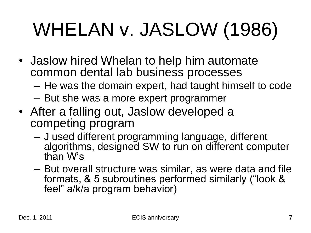# WHELAN v. JASLOW (1986)

- Jaslow hired Whelan to help him automate common dental lab business processes
	- He was the domain expert, had taught himself to code
	- But she was a more expert programmer
- After a falling out, Jaslow developed a competing program
	- J used different programming language, different algorithms, designed SW to run on different computer than W's
	- But overall structure was similar, as were data and file formats, & 5 subroutines performed similarly ("look & feel" a/k/a program behavior)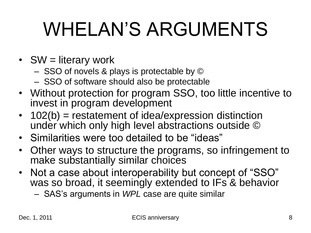#### WHELAN'S ARGUMENTS

- SW = literary work
	- SSO of novels & plays is protectable by ©
	- SSO of software should also be protectable
- Without protection for program SSO, too little incentive to invest in program development
- 102(b) = restatement of idea/expression distinction under which only high level abstractions outside ©
- Similarities were too detailed to be "ideas"
- Other ways to structure the programs, so infringement to make substantially similar choices
- Not a case about interoperability but concept of "SSO" was so broad, it seemingly extended to IFs & behavior
	- SAS's arguments in *WPL* case are quite similar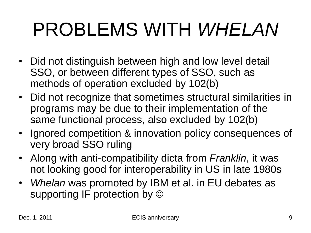#### PROBLEMS WITH *WHELAN*

- Did not distinguish between high and low level detail SSO, or between different types of SSO, such as methods of operation excluded by 102(b)
- Did not recognize that sometimes structural similarities in programs may be due to their implementation of the same functional process, also excluded by 102(b)
- Ignored competition & innovation policy consequences of very broad SSO ruling
- Along with anti-compatibility dicta from *Franklin*, it was not looking good for interoperability in US in late 1980s
- *Whelan* was promoted by IBM et al. in EU debates as supporting IF protection by ©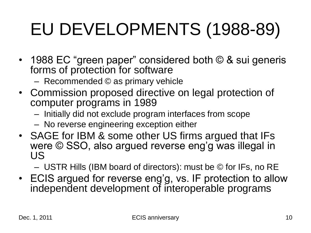#### EU DEVELOPMENTS (1988-89)

- 1988 EC "green paper" considered both  $\odot$  & sui generis forms of protection for software
	- Recommended © as primary vehicle
- Commission proposed directive on legal protection of computer programs in 1989
	- Initially did not exclude program interfaces from scope
	- No reverse engineering exception either
- SAGE for IBM & some other US firms argued that IFs were © SSO, also argued reverse eng'g was illegal in US

– USTR Hills (IBM board of directors): must be © for IFs, no RE

• ECIS argued for reverse eng'g, vs. IF protection to allow independent development of interoperable programs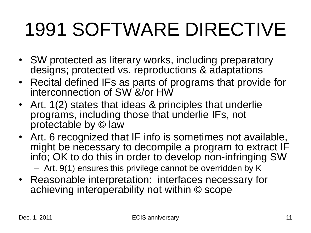### 1991 SOFTWARE DIRECTIVE

- SW protected as literary works, including preparatory designs; protected vs. reproductions & adaptations
- Recital defined IFs as parts of programs that provide for interconnection of SW &/or HW
- Art. 1(2) states that ideas & principles that underlie programs, including those that underlie IFs, not protectable by © law
- Art. 6 recognized that IF info is sometimes not available, might be necessary to decompile a program to extract IF info; OK to do this in order to develop non-infringing SW – Art. 9(1) ensures this privilege cannot be overridden by K
- Reasonable interpretation: interfaces necessary for achieving interoperability not within © scope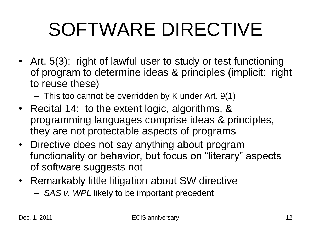## SOFTWARE DIRECTIVE

- Art. 5(3): right of lawful user to study or test functioning of program to determine ideas & principles (implicit: right to reuse these)
	- This too cannot be overridden by K under Art. 9(1)
- Recital 14: to the extent logic, algorithms, & programming languages comprise ideas & principles, they are not protectable aspects of programs
- Directive does not say anything about program functionality or behavior, but focus on "literary" aspects of software suggests not
- Remarkably little litigation about SW directive
	- *SAS v. WPL* likely to be important precedent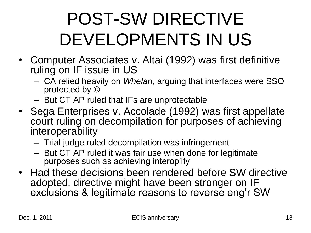#### POST-SW DIRECTIVE DEVELOPMENTS IN US

- Computer Associates v. Altai (1992) was first definitive ruling on IF issue in US
	- CA relied heavily on *Whelan*, arguing that interfaces were SSO protected by ©
	- But CT AP ruled that IFs are unprotectable
- Sega Enterprises v. Accolade (1992) was first appellate court ruling on decompilation for purposes of achieving interoperability
	- Trial judge ruled decompilation was infringement
	- But CT AP ruled it was fair use when done for legitimate purposes such as achieving interop'ity
- Had these decisions been rendered before SW directive adopted, directive might have been stronger on IF exclusions & legitimate reasons to reverse eng'r SW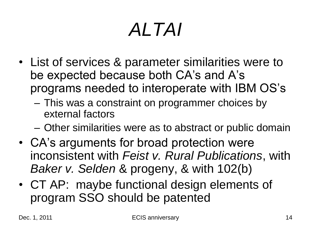## *ALTAI*

- List of services & parameter similarities were to be expected because both CA's and A's programs needed to interoperate with IBM OS's
	- This was a constraint on programmer choices by external factors
	- Other similarities were as to abstract or public domain
- CA's arguments for broad protection were inconsistent with *Feist v. Rural Publications*, with *Baker v. Selden* & progeny, & with 102(b)
- CT AP: maybe functional design elements of program SSO should be patented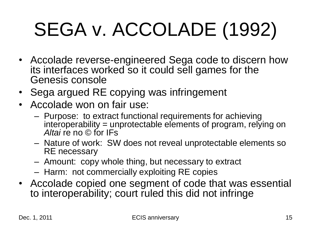# SEGA v. ACCOLADE (1992)

- Accolade reverse-engineered Sega code to discern how its interfaces worked so it could sell games for the Genesis console
- Sega argued RE copying was infringement
- Accolade won on fair use:
	- Purpose: to extract functional requirements for achieving interoperability = unprotectable elements of program, relying on *Altai* re no © for IFs
	- Nature of work: SW does not reveal unprotectable elements so RE necessary
	- Amount: copy whole thing, but necessary to extract
	- Harm: not commercially exploiting RE copies
- Accolade copied one segment of code that was essential to interoperability; court ruled this did not infringe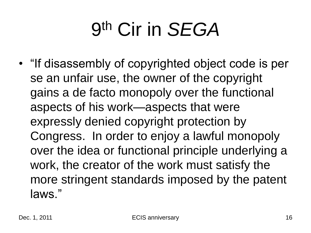## 9 th Cir in *SEGA*

• "If disassembly of copyrighted object code is per se an unfair use, the owner of the copyright gains a de facto monopoly over the functional aspects of his work—aspects that were expressly denied copyright protection by Congress. In order to enjoy a lawful monopoly over the idea or functional principle underlying a work, the creator of the work must satisfy the more stringent standards imposed by the patent laws."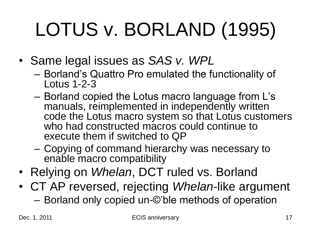# LOTUS v. BORLAND (1995)

- Same legal issues as *SAS v. WPL*
	- Borland's Quattro Pro emulated the functionality of Lotus 1-2-3
	- Borland copied the Lotus macro language from L's manuals, reimplemented in independently written code the Lotus macro system so that Lotus customers who had constructed macros could continue to execute them if switched to QP
	- Copying of command hierarchy was necessary to enable macro compatibility
- Relying on *Whelan*, DCT ruled vs. Borland
- CT AP reversed, rejecting *Whelan*-like argument – Borland only copied un-©'ble methods of operation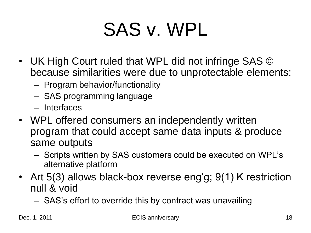#### SAS v. WPL

- UK High Court ruled that WPL did not infringe SAS © because similarities were due to unprotectable elements:
	- Program behavior/functionality
	- SAS programming language
	- Interfaces
- WPL offered consumers an independently written program that could accept same data inputs & produce same outputs
	- Scripts written by SAS customers could be executed on WPL's alternative platform
- Art 5(3) allows black-box reverse eng'g; 9(1) K restriction null & void
	- SAS's effort to override this by contract was unavailing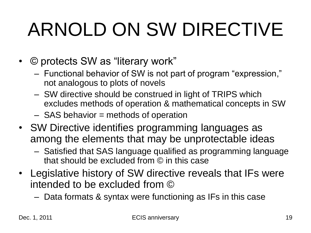## ARNOLD ON SW DIRECTIVE

- © protects SW as "literary work"
	- Functional behavior of SW is not part of program "expression," not analogous to plots of novels
	- SW directive should be construed in light of TRIPS which excludes methods of operation & mathematical concepts in SW
	- SAS behavior = methods of operation
- SW Directive identifies programming languages as among the elements that may be unprotectable ideas
	- Satisfied that SAS language qualified as programming language that should be excluded from © in this case
- Legislative history of SW directive reveals that IFs were intended to be excluded from ©
	- Data formats & syntax were functioning as IFs in this case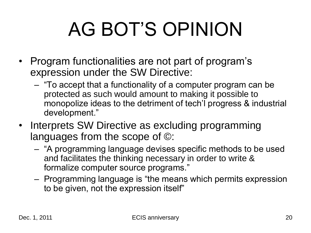### AG BOT'S OPINION

- Program functionalities are not part of program's expression under the SW Directive:
	- ―To accept that a functionality of a computer program can be protected as such would amount to making it possible to monopolize ideas to the detriment of tech'l progress & industrial development."
- Interprets SW Directive as excluding programming languages from the scope of ©:
	- ―A programming language devises specific methods to be used and facilitates the thinking necessary in order to write & formalize computer source programs."
	- Programming language is "the means which permits expression to be given, not the expression itself"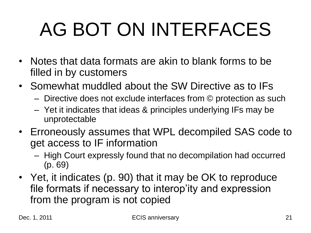# AG BOT ON INTERFACES

- Notes that data formats are akin to blank forms to be filled in by customers
- Somewhat muddled about the SW Directive as to IFs
	- Directive does not exclude interfaces from © protection as such
	- Yet it indicates that ideas & principles underlying IFs may be unprotectable
- Erroneously assumes that WPL decompiled SAS code to get access to IF information
	- High Court expressly found that no decompilation had occurred (p. 69)
- Yet, it indicates (p. 90) that it may be OK to reproduce file formats if necessary to interop'ity and expression from the program is not copied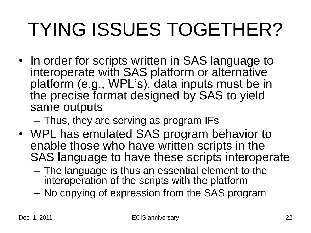### TYING ISSUES TOGETHER?

• In order for scripts written in SAS language to interoperate with SAS platform or alternative platform (e.g., WPL's), data inputs must be in the precise format designed by SAS to yield same outputs

– Thus, they are serving as program IFs

- WPL has emulated SAS program behavior to enable those who have written scripts in the SAS language to have these scripts interoperate
	- The language is thus an essential element to the interoperation of the scripts with the platform
	- No copying of expression from the SAS program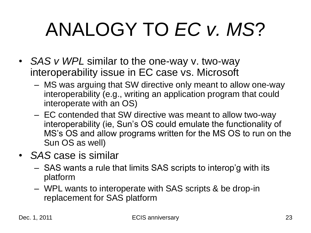## ANALOGY TO *EC v. MS*?

- *SAS v WPL* similar to the one-way v. two-way interoperability issue in EC case vs. Microsoft
	- MS was arguing that SW directive only meant to allow one-way interoperability (e.g., writing an application program that could interoperate with an OS)
	- EC contended that SW directive was meant to allow two-way interoperability (ie, Sun's OS could emulate the functionality of MS's OS and allow programs written for the MS OS to run on the Sun OS as well)
- *SAS* case is similar
	- SAS wants a rule that limits SAS scripts to interop'g with its platform
	- WPL wants to interoperate with SAS scripts & be drop-in replacement for SAS platform